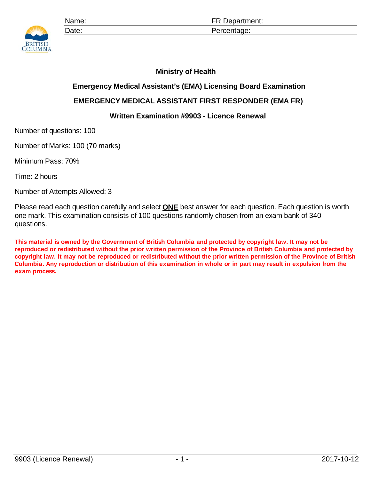

## **Ministry of Health**

## **Emergency Medical Assistant's (EMA) Licensing Board Examination**

## **EMERGENCY MEDICAL ASSISTANT FIRST RESPONDER (EMA FR)**

## **Written Examination #9903 - Licence Renewal**

Number of questions: 100

Number of Marks: 100 (70 marks)

Minimum Pass: 70%

Time: 2 hours

Number of Attempts Allowed: 3

Please read each question carefully and select **ONE** best answer for each question. Each question is worth one mark. This examination consists of 100 questions randomly chosen from an exam bank of 340 questions.

**This material is owned by the Government of British Columbia and protected by copyright law. It may not be reproduced or redistributed without the prior written permission of the Province of British Columbia and protected by copyright law. It may not be reproduced or redistributed without the prior written permission of the Province of British Columbia. Any reproduction or distribution of this examination in whole or in part may result in expulsion from the exam process.**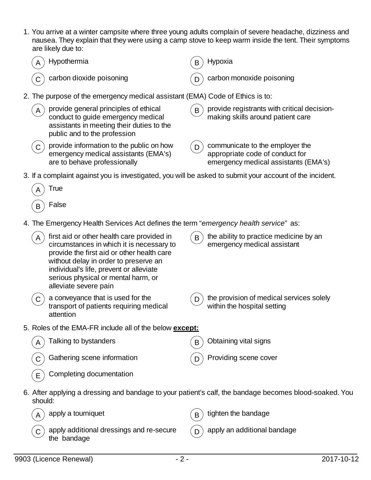1. You arrive at a winter campsite where three young adults complain of severe headache, dizziness and nausea. They explain that they were using a camp stove to keep warm inside the tent. Their symptoms are likely due to:

|             | Hypothermia                                                                                                                                                                                                                                                                               | в | Hypoxia                                                                                                    |
|-------------|-------------------------------------------------------------------------------------------------------------------------------------------------------------------------------------------------------------------------------------------------------------------------------------------|---|------------------------------------------------------------------------------------------------------------|
|             | carbon dioxide poisoning                                                                                                                                                                                                                                                                  |   | carbon monoxide poisoning                                                                                  |
|             | 2. The purpose of the emergency medical assistant (EMA) Code of Ethics is to:                                                                                                                                                                                                             |   |                                                                                                            |
| A           | provide general principles of ethical<br>conduct to guide emergency medical<br>assistants in meeting their duties to the<br>public and to the profession                                                                                                                                  | B | provide registrants with critical decision-<br>making skills around patient care                           |
| $\mathsf C$ | provide information to the public on how<br>emergency medical assistants (EMA's)<br>are to behave professionally                                                                                                                                                                          | D | communicate to the employer the<br>appropriate code of conduct for<br>emergency medical assistants (EMA's) |
|             | 3. If a complaint against you is investigated, you will be asked to submit your account of the incident.                                                                                                                                                                                  |   |                                                                                                            |
|             | <b>True</b>                                                                                                                                                                                                                                                                               |   |                                                                                                            |
| B           | False                                                                                                                                                                                                                                                                                     |   |                                                                                                            |
|             | 4. The Emergency Health Services Act defines the term "emergency health service" as:                                                                                                                                                                                                      |   |                                                                                                            |
| A           | first aid or other health care provided in<br>circumstances in which it is necessary to<br>provide the first aid or other health care<br>without delay in order to preserve an<br>individual's life, prevent or alleviate<br>serious physical or mental harm, or<br>alleviate severe pain | B | the ability to practice medicine by an<br>emergency medical assistant                                      |
|             | a conveyance that is used for the<br>transport of patients requiring medical<br>attention                                                                                                                                                                                                 | D | the provision of medical services solely<br>within the hospital setting                                    |
|             | 5. Roles of the EMA-FR include all of the below except:                                                                                                                                                                                                                                   |   |                                                                                                            |
|             | Talking to bystanders                                                                                                                                                                                                                                                                     | B | Obtaining vital signs                                                                                      |
|             | Gathering scene information                                                                                                                                                                                                                                                               |   | Providing scene cover                                                                                      |
| Е           | Completing documentation                                                                                                                                                                                                                                                                  |   |                                                                                                            |
| should:     |                                                                                                                                                                                                                                                                                           |   | 6. After applying a dressing and bandage to your patient's calf, the bandage becomes blood-soaked. You     |
|             | apply a tourniquet                                                                                                                                                                                                                                                                        | B | tighten the bandage                                                                                        |
|             | apply additional dressings and re-secure<br>the bandage                                                                                                                                                                                                                                   |   | apply an additional bandage                                                                                |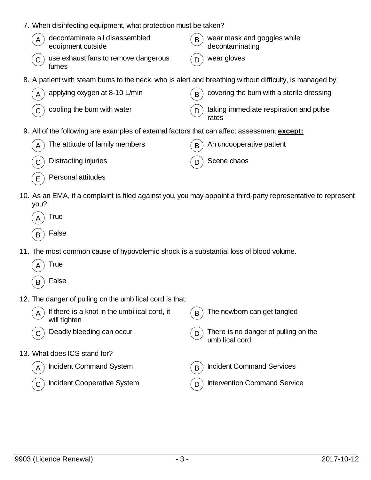- 7. When disinfecting equipment, what protection must be taken?
	- $\mathbf{A}$  decontaminate all disassembled equipment outside  $\mathbf{B}$  wear mask and goggles while decontaminating  $\mathbf{C}$ ) use exhaust fans to remove dangerous fumes wear gloves
- 8. A patient with steam burns to the neck, who is alert and breathing without difficulty, is managed by:

| $\left(\overline{A}\right)$ applying oxygen at 8-10 L/min                     | $(B)$ covering the burn with a sterile dressing                                   |
|-------------------------------------------------------------------------------|-----------------------------------------------------------------------------------|
| $\left(\begin{matrix} 0 \\ 0 \end{matrix}\right)$ cooling the burn with water | $\begin{pmatrix} D \end{pmatrix}$ taking immediate respiration and pulse<br>rates |

9. All of the following are examples of external factors that can affect assessment **except:**

| $(A)$ The attitude of family members           | $\mathcal{L}_{\mathbf{B}}$ An uncooperative patient |
|------------------------------------------------|-----------------------------------------------------|
| $\mathcal{L}(\mathbf{C})$ Distracting injuries | $(D)$ Scene chaos                                   |
| $(E)$ Personal attitudes                       |                                                     |

- 10. As an EMA, if a complaint is filed against you, you may appoint a third-party representative to represent you?
	- **True**  $_B$  False
- 11. The most common cause of hypovolemic shock is a substantial loss of blood volume.
	- **True**
	- $_B$ ) False
- 12. The danger of pulling on the umbilical cord is that:

| If there is a knot in the umbilical cord, it<br>A<br>will tighten | The newborn can get tangled<br>B                       |
|-------------------------------------------------------------------|--------------------------------------------------------|
| Deadly bleeding can occur                                         | There is no danger of pulling on the<br>umbilical cord |
| 13. What does ICS stand for?                                      |                                                        |
| <b>Incident Command System</b>                                    | <b>Incident Command Services</b><br>B                  |
| Incident Cooperative System                                       | <b>Intervention Command Service</b>                    |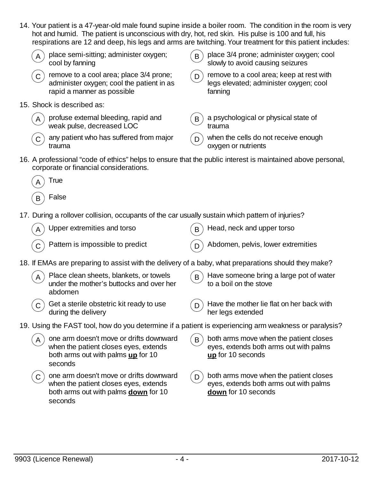|              | hot and humid. The patient is unconscious with dry, hot, red skin. His pulse is 100 and full, his                                          |   | 14. Your patient is a 47-year-old male found supine inside a boiler room. The condition in the room is very<br>respirations are 12 and deep, his legs and arms are twitching. Your treatment for this patient includes: |
|--------------|--------------------------------------------------------------------------------------------------------------------------------------------|---|-------------------------------------------------------------------------------------------------------------------------------------------------------------------------------------------------------------------------|
|              | place semi-sitting; administer oxygen;<br>cool by fanning                                                                                  | B | place 3/4 prone; administer oxygen; cool<br>slowly to avoid causing seizures                                                                                                                                            |
|              | remove to a cool area; place 3/4 prone;<br>administer oxygen; cool the patient in as<br>rapid a manner as possible                         | D | remove to a cool area; keep at rest with<br>legs elevated; administer oxygen; cool<br>fanning                                                                                                                           |
|              | 15. Shock is described as:                                                                                                                 |   |                                                                                                                                                                                                                         |
|              | profuse external bleeding, rapid and<br>weak pulse, decreased LOC                                                                          | B | a psychological or physical state of<br>trauma                                                                                                                                                                          |
|              | any patient who has suffered from major<br>trauma                                                                                          | D | when the cells do not receive enough<br>oxygen or nutrients                                                                                                                                                             |
|              | corporate or financial considerations.                                                                                                     |   | 16. A professional "code of ethics" helps to ensure that the public interest is maintained above personal,                                                                                                              |
|              | True                                                                                                                                       |   |                                                                                                                                                                                                                         |
| B            | False                                                                                                                                      |   |                                                                                                                                                                                                                         |
|              | 17. During a rollover collision, occupants of the car usually sustain which pattern of injuries?                                           |   |                                                                                                                                                                                                                         |
|              | Upper extremities and torso                                                                                                                | B | Head, neck and upper torso                                                                                                                                                                                              |
|              | Pattern is impossible to predict                                                                                                           | D | Abdomen, pelvis, lower extremities                                                                                                                                                                                      |
|              | 18. If EMAs are preparing to assist with the delivery of a baby, what preparations should they make?                                       |   |                                                                                                                                                                                                                         |
|              | Place clean sheets, blankets, or towels<br>under the mother's buttocks and over her<br>abdomen                                             | B | Have someone bring a large pot of water<br>to a boil on the stove                                                                                                                                                       |
|              | Get a sterile obstetric kit ready to use<br>during the delivery                                                                            | D | Have the mother lie flat on her back with<br>her legs extended                                                                                                                                                          |
|              | 19. Using the FAST tool, how do you determine if a patient is experiencing arm weakness or paralysis?                                      |   |                                                                                                                                                                                                                         |
| A            | one arm doesn't move or drifts downward<br>when the patient closes eyes, extends<br>both arms out with palms up for 10<br>seconds          | B | both arms move when the patient closes<br>eyes, extends both arms out with palms<br>up for 10 seconds                                                                                                                   |
| $\mathsf{C}$ | one arm doesn't move or drifts downward<br>when the patient closes eyes, extends<br>both arms out with palms <b>down</b> for 10<br>seconds | D | both arms move when the patient closes<br>eyes, extends both arms out with palms<br>down for 10 seconds                                                                                                                 |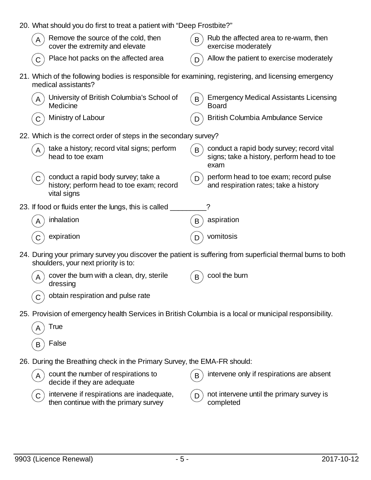| 20. What should you do first to treat a patient with "Deep Frostbite?" |                                                                                                                                                     |   |                                                                                                 |  |  |  |  |
|------------------------------------------------------------------------|-----------------------------------------------------------------------------------------------------------------------------------------------------|---|-------------------------------------------------------------------------------------------------|--|--|--|--|
|                                                                        | Remove the source of the cold, then<br>cover the extremity and elevate                                                                              | B | Rub the affected area to re-warm, then<br>exercise moderately                                   |  |  |  |  |
|                                                                        | Place hot packs on the affected area                                                                                                                |   | Allow the patient to exercise moderately                                                        |  |  |  |  |
|                                                                        | 21. Which of the following bodies is responsible for examining, registering, and licensing emergency<br>medical assistants?                         |   |                                                                                                 |  |  |  |  |
|                                                                        | University of British Columbia's School of<br>Medicine                                                                                              | B | <b>Emergency Medical Assistants Licensing</b><br><b>Board</b>                                   |  |  |  |  |
|                                                                        | Ministry of Labour                                                                                                                                  |   | <b>British Columbia Ambulance Service</b>                                                       |  |  |  |  |
|                                                                        | 22. Which is the correct order of steps in the secondary survey?                                                                                    |   |                                                                                                 |  |  |  |  |
|                                                                        | take a history; record vital signs; perform<br>head to toe exam                                                                                     | B | conduct a rapid body survey; record vital<br>signs; take a history, perform head to toe<br>exam |  |  |  |  |
|                                                                        | conduct a rapid body survey; take a<br>history; perform head to toe exam; record<br>vital signs                                                     | D | perform head to toe exam; record pulse<br>and respiration rates; take a history                 |  |  |  |  |
|                                                                        | 23. If food or fluids enter the lungs, this is called _                                                                                             |   |                                                                                                 |  |  |  |  |
|                                                                        | inhalation                                                                                                                                          | B | aspiration                                                                                      |  |  |  |  |
|                                                                        | expiration                                                                                                                                          | D | vomitosis                                                                                       |  |  |  |  |
|                                                                        | 24. During your primary survey you discover the patient is suffering from superficial thermal burns to both<br>shoulders, your next priority is to: |   |                                                                                                 |  |  |  |  |
|                                                                        | cover the burn with a clean, dry, sterile<br>dressing                                                                                               | B | cool the burn                                                                                   |  |  |  |  |
|                                                                        | obtain respiration and pulse rate                                                                                                                   |   |                                                                                                 |  |  |  |  |
|                                                                        | 25. Provision of emergency health Services in British Columbia is a local or municipal responsibility.                                              |   |                                                                                                 |  |  |  |  |
|                                                                        | True                                                                                                                                                |   |                                                                                                 |  |  |  |  |
| B                                                                      | False                                                                                                                                               |   |                                                                                                 |  |  |  |  |
|                                                                        | 26. During the Breathing check in the Primary Survey, the EMA-FR should:                                                                            |   |                                                                                                 |  |  |  |  |
|                                                                        | count the number of respirations to<br>decide if they are adequate                                                                                  | B | intervene only if respirations are absent                                                       |  |  |  |  |
| C                                                                      | intervene if respirations are inadequate,<br>then continue with the primary survey                                                                  | D | not intervene until the primary survey is<br>completed                                          |  |  |  |  |
|                                                                        |                                                                                                                                                     |   |                                                                                                 |  |  |  |  |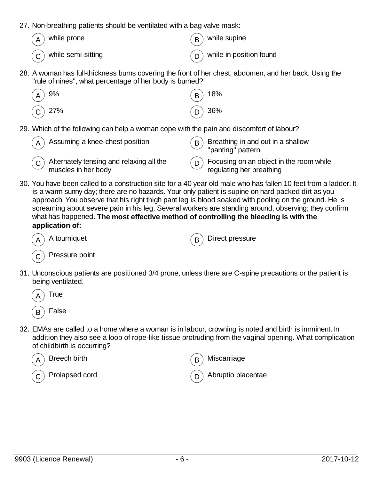- 27. Non-breathing patients should be ventilated with a bag valve mask:
	- while prone  $\mathbb{R}$  while supine while semi-sitting  $(p)$  while in position found
- 28. A woman has full-thickness burns covering the front of her chest, abdomen, and her back. Using the "rule of nines", what percentage of her body is burned?

| $\left(\widehat{A}\right)$ 9%  | $\binom{6}{18}$ 18%                      |
|--------------------------------|------------------------------------------|
| $\left(\widehat{C}\right)$ 27% | $\left(\overline{\mathsf{D}}\right)$ 36% |

29. Which of the following can help a woman cope with the pain and discomfort of labour?

| $_A$ ) Assuming a knee-chest position                | $(B)$ Breathing in and out in a shallow<br>"panting" pattern |
|------------------------------------------------------|--------------------------------------------------------------|
| $\tilde{c}$ Alternately tensing and relaxing all the | $\binom{n}{D}$ Focusing on an object in the room while       |
| muscles in her body                                  | regulating her breathing                                     |

30. You have been called to a construction site for a 40 year old male who has fallen 10 feet from a ladder. It is a warm sunny day; there are no hazards. Your only patient is supine on hard packed dirt as you approach. You observe that his right thigh pant leg is blood soaked with pooling on the ground. He is screaming about severe pain in his leg. Several workers are standing around, observing; they confirm what has happened**. The most effective method of controlling the bleeding is with the application of:**



A tourniquet  $(B)$  Direct pressure

Pressure point

31. Unconscious patients are positioned 3/4 prone, unless there are C-spine precautions or the patient is being ventilated.



32. EMAs are called to a home where a woman is in labour, crowning is noted and birth is imminent. In addition they also see a loop of rope-like tissue protruding from the vaginal opening. What complication of childbirth is occurring?



Breech birth  $(B)$  Miscarriage

Prolapsed cord  $\binom{n}{0}$  Abruptio placentae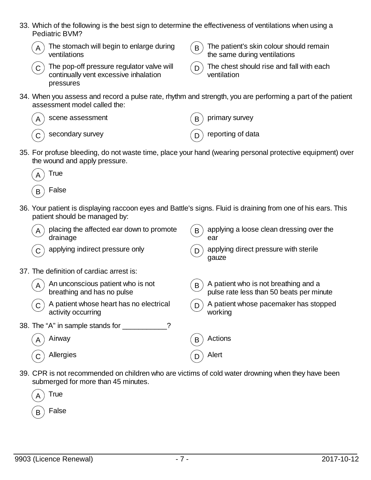- 33. Which of the following is the best sign to determine the effectiveness of ventilations when using a Pediatric BVM?
	-
	- $_A$ ) The stomach will begin to enlarge during ventilations



- $\mathbf{B}$ ) The patient's skin colour should remain the same during ventilations
- $\overline{C}$ ) The pop-off pressure regulator valve will continually vent excessive inhalation pressures
- $\overline{D}$  The chest should rise and fall with each ventilation
- 34. When you assess and record a pulse rate, rhythm and strength, you are performing a part of the patient assessment model called the:

| $(A)$ scene assessment | $(B)$ primary survey    |
|------------------------|-------------------------|
| $(c)$ secondary survey | $(p)$ reporting of data |

35. For profuse bleeding, do not waste time, place your hand (wearing personal protective equipment) over the wound and apply pressure.



- **False**
- 36. Your patient is displaying raccoon eyes and Battle's signs. Fluid is draining from one of his ears. This patient should be managed by:

| A | placing the affected ear down to promote<br>drainage            | B | applying a loose clean dressing over the<br>ear                                  |
|---|-----------------------------------------------------------------|---|----------------------------------------------------------------------------------|
|   | applying indirect pressure only                                 | D | applying direct pressure with sterile<br>gauze                                   |
|   | 37. The definition of cardiac arrest is:                        |   |                                                                                  |
| A | An unconscious patient who is not<br>breathing and has no pulse | B | A patient who is not breathing and a<br>pulse rate less than 50 beats per minute |
|   | A patient whose heart has no electrical<br>activity occurring   | D | A patient whose pacemaker has stopped<br>working                                 |
|   | 38. The "A" in sample stands for                                |   |                                                                                  |
|   | Airway                                                          | В | Actions                                                                          |
|   | Allergies                                                       |   | Alert                                                                            |
|   |                                                                 |   |                                                                                  |

39. CPR is not recommended on children who are victims of cold water drowning when they have been submerged for more than 45 minutes.

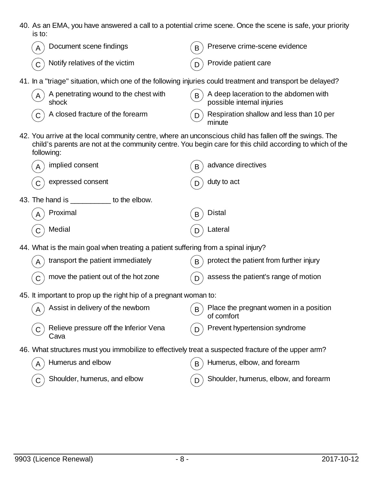40. As an EMA, you have answered a call to a potential crime scene. Once the scene is safe, your priority is to:

|            | Document scene findings                        |                                                                                   | B     | Preserve crime-scene evidence                                                                                                                                                                                       |
|------------|------------------------------------------------|-----------------------------------------------------------------------------------|-------|---------------------------------------------------------------------------------------------------------------------------------------------------------------------------------------------------------------------|
|            | Notify relatives of the victim                 |                                                                                   | D     | Provide patient care                                                                                                                                                                                                |
|            |                                                |                                                                                   |       | 41. In a "triage" situation, which one of the following injuries could treatment and transport be delayed?                                                                                                          |
| A          | A penetrating wound to the chest with<br>shock |                                                                                   | B     | A deep laceration to the abdomen with<br>possible internal injuries                                                                                                                                                 |
|            | A closed fracture of the forearm               |                                                                                   | D     | Respiration shallow and less than 10 per<br>minute                                                                                                                                                                  |
| following: |                                                |                                                                                   |       | 42. You arrive at the local community centre, where an unconscious child has fallen off the swings. The<br>child's parents are not at the community centre. You begin care for this child according to which of the |
|            | implied consent                                |                                                                                   | B     | advance directives                                                                                                                                                                                                  |
|            | expressed consent                              |                                                                                   | D     | duty to act                                                                                                                                                                                                         |
|            | 43. The hand is to the elbow.                  |                                                                                   |       |                                                                                                                                                                                                                     |
|            | Proximal                                       |                                                                                   | B     | <b>Distal</b>                                                                                                                                                                                                       |
|            | Medial                                         |                                                                                   | D     | Lateral                                                                                                                                                                                                             |
|            |                                                | 44. What is the main goal when treating a patient suffering from a spinal injury? |       |                                                                                                                                                                                                                     |
| A          | transport the patient immediately              |                                                                                   | B     | protect the patient from further injury                                                                                                                                                                             |
| С          | move the patient out of the hot zone           |                                                                                   | D     | assess the patient's range of motion                                                                                                                                                                                |
|            |                                                | 45. It important to prop up the right hip of a pregnant woman to:                 |       |                                                                                                                                                                                                                     |
|            | $(A)$ Assist in delivery of the newborn        |                                                                                   | ( B ) | Place the pregnant women in a position<br>of comfort                                                                                                                                                                |
|            | Relieve pressure off the Inferior Vena<br>Cava |                                                                                   |       | Prevent hypertension syndrome                                                                                                                                                                                       |
|            |                                                |                                                                                   |       | 46. What structures must you immobilize to effectively treat a suspected fracture of the upper arm?                                                                                                                 |
|            | Humerus and elbow                              |                                                                                   | B     | Humerus, elbow, and forearm                                                                                                                                                                                         |
| C          | Shoulder, humerus, and elbow                   |                                                                                   | D     | Shoulder, humerus, elbow, and forearm                                                                                                                                                                               |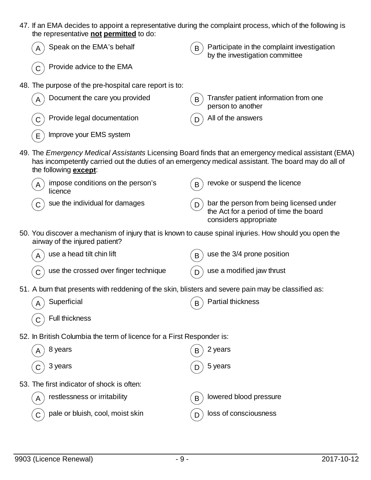| 47. If an EMA decides to appoint a representative during the complaint process, which of the following is |                                                                                                                                                                                                                                                                                         |  |  |
|-----------------------------------------------------------------------------------------------------------|-----------------------------------------------------------------------------------------------------------------------------------------------------------------------------------------------------------------------------------------------------------------------------------------|--|--|
| the representative not permitted to do:                                                                   |                                                                                                                                                                                                                                                                                         |  |  |
|                                                                                                           | $\sqrt{2}$ and $\sqrt{2}$ and $\sqrt{2}$ and $\sqrt{2}$ and $\sqrt{2}$ and $\sqrt{2}$ and $\sqrt{2}$ and $\sqrt{2}$ and $\sqrt{2}$ and $\sqrt{2}$ and $\sqrt{2}$ and $\sqrt{2}$ and $\sqrt{2}$ and $\sqrt{2}$ and $\sqrt{2}$ and $\sqrt{2}$ and $\sqrt{2}$ and $\sqrt{2}$ and $\sqrt{2$ |  |  |

| Speak on the EMA's behalf                                                                                                                                                                                                                    | B | Participate in the complaint investigation<br>by the investigation committee                                |
|----------------------------------------------------------------------------------------------------------------------------------------------------------------------------------------------------------------------------------------------|---|-------------------------------------------------------------------------------------------------------------|
| Provide advice to the EMA                                                                                                                                                                                                                    |   |                                                                                                             |
| 48. The purpose of the pre-hospital care report is to:                                                                                                                                                                                       |   |                                                                                                             |
| Document the care you provided                                                                                                                                                                                                               | B | Transfer patient information from one<br>person to another                                                  |
| Provide legal documentation                                                                                                                                                                                                                  |   | All of the answers                                                                                          |
| Improve your EMS system<br>E                                                                                                                                                                                                                 |   |                                                                                                             |
| 49. The Emergency Medical Assistants Licensing Board finds that an emergency medical assistant (EMA)<br>has incompetently carried out the duties of an emergency medical assistant. The board may do all of<br>the following <b>except</b> : |   |                                                                                                             |
| impose conditions on the person's<br>licence                                                                                                                                                                                                 | B | revoke or suspend the licence                                                                               |
| sue the individual for damages                                                                                                                                                                                                               | D | bar the person from being licensed under<br>the Act for a period of time the board<br>considers appropriate |
| 50. You discover a mechanism of injury that is known to cause spinal injuries. How should you open the<br>airway of the injured patient?                                                                                                     |   |                                                                                                             |
| use a head tilt chin lift                                                                                                                                                                                                                    | B | use the 3/4 prone position                                                                                  |
| use the crossed over finger technique                                                                                                                                                                                                        | D | use a modified jaw thrust                                                                                   |
| 51. A burn that presents with reddening of the skin, blisters and severe pain may be classified as:                                                                                                                                          |   |                                                                                                             |
| Superficial                                                                                                                                                                                                                                  | B | <b>Partial thickness</b>                                                                                    |
| <b>Full thickness</b>                                                                                                                                                                                                                        |   |                                                                                                             |
| 52. In British Columbia the term of licence for a First Responder is:                                                                                                                                                                        |   |                                                                                                             |
| 8 years                                                                                                                                                                                                                                      |   | 2 years                                                                                                     |
| 3 years                                                                                                                                                                                                                                      |   | 5 years                                                                                                     |
| 53. The first indicator of shock is often:                                                                                                                                                                                                   |   |                                                                                                             |
| restlessness or irritability<br>A                                                                                                                                                                                                            | B | lowered blood pressure                                                                                      |
| pale or bluish, cool, moist skin                                                                                                                                                                                                             | D | loss of consciousness                                                                                       |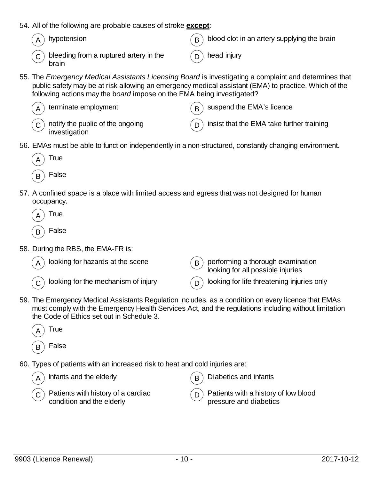- 54. All of the following are probable causes of stroke **except**:
	-
- hypotension  $(B)$  blood clot in an artery supplying the brain
	- $\sigma$ ) bleeding from a ruptured artery in the brain
- head injury
- 55. The *Emergency Medical Assistants Licensing Board* is investigating a complaint and determines that public safety may be at risk allowing an emergency medical assistant (EMA) to practice. Which of the following actions may the b*oard* impose on the EMA being investigated?

| $(A)$ terminate employment                                                                          | $($ B) suspend the EMA's licence                |
|-----------------------------------------------------------------------------------------------------|-------------------------------------------------|
| $\left(\begin{matrix} 0 \\ 0 \end{matrix}\right)$ notify the public of the ongoing<br>investigation | $(p)$ insist that the EMA take further training |

56. EMAs must be able to function independently in a non-structured, constantly changing environment.



- 57. A confined space is a place with limited access and egress that was not designed for human occupancy.
	- **True False**
- 58. During the RBS, the EMA-FR is:

| $\left(\overline{\mathsf{A}}\right)$ looking for hazards at the scene | (B) performing a thorough examination<br>looking for all possible injuries |
|-----------------------------------------------------------------------|----------------------------------------------------------------------------|
| $(\mathbf{C})$ looking for the mechanism of injury                    | $\binom{1}{D}$ looking for life threatening injuries only                  |

59. The Emergency Medical Assistants Regulation includes, as a condition on every licence that EMAs must comply with the Emergency Health Services Act, and the regulations including without limitation the Code of Ethics set out in Schedule 3.



60. Types of patients with an increased risk to heat and cold injuries are:

| $(\overline{\mathsf{A}})$ Infants and the elderly | $\mathcal{L}_{\mathbf{B}}$ Diabetics and infants |
|---------------------------------------------------|--------------------------------------------------|
| $\sigma$ Patients with history of a cardiac       | $(n)$ Patients with a history of low blood       |
| $\sim$ condition and the elderly                  | pressure and diabetics                           |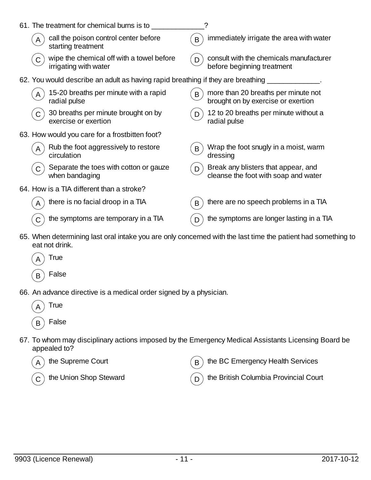|   | 61. The treatment for chemical burns is to                                      |   | ?                                                                                                            |
|---|---------------------------------------------------------------------------------|---|--------------------------------------------------------------------------------------------------------------|
| A | call the poison control center before<br>starting treatment                     | B | immediately irrigate the area with water                                                                     |
|   | wipe the chemical off with a towel before<br>irrigating with water              |   | consult with the chemicals manufacturer<br>before beginning treatment                                        |
|   | 62. You would describe an adult as having rapid breathing if they are breathing |   |                                                                                                              |
|   | 15-20 breaths per minute with a rapid<br>radial pulse                           | B | more than 20 breaths per minute not<br>brought on by exercise or exertion                                    |
| C | 30 breaths per minute brought on by<br>exercise or exertion                     |   | 12 to 20 breaths per minute without a<br>radial pulse                                                        |
|   | 63. How would you care for a frostbitten foot?                                  |   |                                                                                                              |
|   | Rub the foot aggressively to restore<br>circulation                             | B | Wrap the foot snugly in a moist, warm<br>dressing                                                            |
| C | Separate the toes with cotton or gauze<br>when bandaging                        | D | Break any blisters that appear, and<br>cleanse the foot with soap and water                                  |
|   | 64. How is a TIA different than a stroke?                                       |   |                                                                                                              |
|   | there is no facial droop in a TIA                                               | B | there are no speech problems in a TIA                                                                        |
|   | the symptoms are temporary in a TIA                                             | D | the symptoms are longer lasting in a TIA                                                                     |
|   | oot not drink                                                                   |   | 65. When determining last oral intake you are only concerned with the last time the patient had something to |

- eat not drink.
	- **True**
	- $(B)$  False
- 66. An advance directive is a medical order signed by a physician.
	- $_A$ ) True  $\mathsf{B}$ ) False
- 67. To whom may disciplinary actions imposed by the Emergency Medical Assistants Licensing Board be appealed to?
	-
- the Supreme Court  $\overline{(B)}$  the BC Emergency Health Services

 $\overline{C}$  the Union Shop Steward  $\overline{D}$  the British Columbia Provincial Court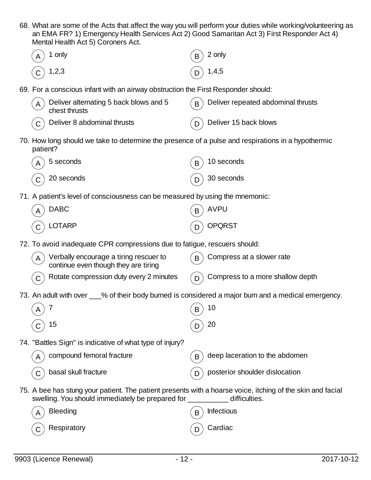68. What are some of the Acts that affect the way you will perform your duties while working/volunteering as an EMA FR? 1) Emergency Health Services Act 2) Good Samaritan Act 3) First Responder Act 4) Mental Health Act 5) Coroners Act.

| Mental Health Act 5) Coroners Act.                                                                             |                                                                                                            |
|----------------------------------------------------------------------------------------------------------------|------------------------------------------------------------------------------------------------------------|
| 1 only                                                                                                         | 2 only<br>В                                                                                                |
| 1,2,3                                                                                                          | 1,4,5                                                                                                      |
| 69. For a conscious infant with an airway obstruction the First Responder should:                              |                                                                                                            |
| Deliver alternating 5 back blows and 5<br>A<br>chest thrusts                                                   | Deliver repeated abdominal thrusts<br>B                                                                    |
| Deliver 8 abdominal thrusts                                                                                    | Deliver 15 back blows                                                                                      |
| 70. How long should we take to determine the presence of a pulse and respirations in a hypothermic<br>patient? |                                                                                                            |
| 5 seconds                                                                                                      | 10 seconds<br>B                                                                                            |
| 20 seconds                                                                                                     | 30 seconds                                                                                                 |
| 71. A patient's level of consciousness can be measured by using the mnemonic:                                  |                                                                                                            |
| <b>DABC</b>                                                                                                    | <b>AVPU</b>                                                                                                |
| <b>LOTARP</b>                                                                                                  | <b>OPQRST</b>                                                                                              |
| 72. To avoid inadequate CPR compressions due to fatigue, rescuers should:                                      |                                                                                                            |
| Verbally encourage a tiring rescuer to<br>A<br>continue even though they are tiring                            | Compress at a slower rate<br>B                                                                             |
| Rotate compression duty every 2 minutes                                                                        | Compress to a more shallow depth<br>D                                                                      |
|                                                                                                                | 73. An adult with over ___% of their body burned is considered a major burn and a medical emergency.       |
| 7<br>Α                                                                                                         | 10<br>B                                                                                                    |
| 15                                                                                                             | 20                                                                                                         |
| 74. "Battles Sign" is indicative of what type of injury?                                                       |                                                                                                            |
| compound femoral fracture<br>Α                                                                                 | deep laceration to the abdomen<br>B                                                                        |
| basal skull fracture                                                                                           | posterior shoulder dislocation                                                                             |
| swelling. You should immediately be prepared for ___________ difficulties.                                     | 75. A bee has stung your patient. The patient presents with a hoarse voice, itching of the skin and facial |
| <b>Bleeding</b>                                                                                                | <b>Infectious</b><br>B                                                                                     |
| Respiratory                                                                                                    | Cardiac                                                                                                    |
|                                                                                                                |                                                                                                            |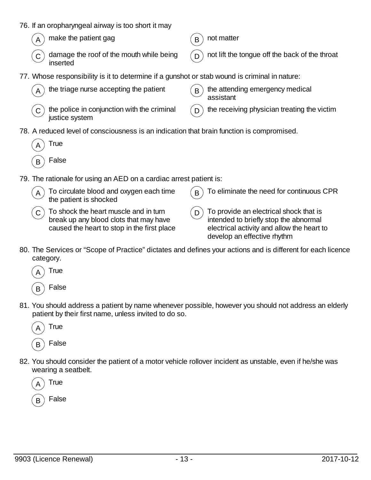- 76. If an oropharyngeal airway is too short it may
	- make the patient gag  $(B)$  not matter
	- damage the roof of the mouth while being inserted

- not lift the tongue off the back of the throat
- 77. Whose responsibility is it to determine if a gunshot or stab wound is criminal in nature:

| $(A)$ the triage nurse accepting the patient                                            | $(B)$ the attending emergency medical<br>assistant    |
|-----------------------------------------------------------------------------------------|-------------------------------------------------------|
| $\left(\mathsf{C}\right)$ the police in conjunction with the criminal<br>justice system | $($ D $)$ the receiving physician treating the victim |

78. A reduced level of consciousness is an indication that brain function is compromised.

| I rue |
|-------|
|       |

- **False**
- 79. The rationale for using an AED on a cardiac arrest patient is:
	- $(A)$  To circulate blood and oxygen each time the patient is shocked  $\mathbf{F}_{\mathbf{B}}$ ) To eliminate the need for continuous CPR  $\mathcal{C}$ ) To shock the heart muscle and in turn  $\mathcal{L}_{\mathsf{D}}$  To provide an electrical shock that is
		- break up any blood clots that may have caused the heart to stop in the first place
- intended to briefly stop the abnormal electrical activity and allow the heart to develop an effective rhythm
- 80. The Services or "Scope of Practice" dictates and defines your actions and is different for each licence category.



81. You should address a patient by name whenever possible, however you should not address an elderly patient by their first name, unless invited to do so.



82. You should consider the patient of a motor vehicle rollover incident as unstable, even if he/she was wearing a seatbelt.

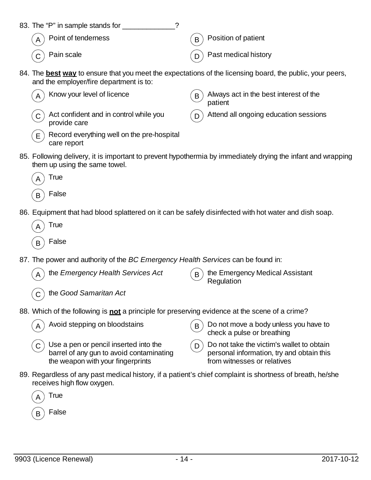| 83. The "P" in sample stands for |                                     |
|----------------------------------|-------------------------------------|
| $(A)$ Point of tenderness        | $(B)$ Position of patient           |
| $(C)$ Pain scale                 | $\binom{n}{D}$ Past medical history |

84. The **best way** to ensure that you meet the expectations of the licensing board, the public, your peers, and the employer/fire department is to:

| Know your level of licence<br>$(A^{\prime})$                                       | Always act in the best interest of the<br>B<br>patient |
|------------------------------------------------------------------------------------|--------------------------------------------------------|
| $\mathcal{L}(\mathbf{C})$ Act confident and in control while you<br>provide care   | $(\mathsf{p})$ Attend all ongoing education sessions   |
| Record everything well on the pre-hospital<br>$(E^{\setminus})$<br>$0.000$ $0.000$ |                                                        |

85. Following delivery, it is important to prevent hypothermia by immediately drying the infant and wrapping them up using the same towel.



care report

 $_B$ ) False

86. Equipment that had blood splattered on it can be safely disinfected with hot water and dish soap.

| А | True  |
|---|-------|
| В | False |

- 87. The power and authority of the *BC Emergency Health Services* can be found in:
	- the *Emergency Health Services Act*  $\overline{B}$  the Emergency Medical Assistant
- **Regulation**

- C the *Good Samaritan Act*
- 88. Which of the following is **not** a principle for preserving evidence at the scene of a crime?



- $(C)$  Use a pen or pencil inserted into the barrel of any gun to avoid contaminating the weapon with your fingerprints
- Avoid stepping on bloodstains  $(B)$  Do not move a body unless you have to check a pulse or breathing
	- $(D)$  Do not take the victim's wallet to obtain personal information, try and obtain this from witnesses or relatives
- 89. Regardless of any past medical history, if a patient's chief complaint is shortness of breath, he/she receives high flow oxygen.

| True  |
|-------|
| False |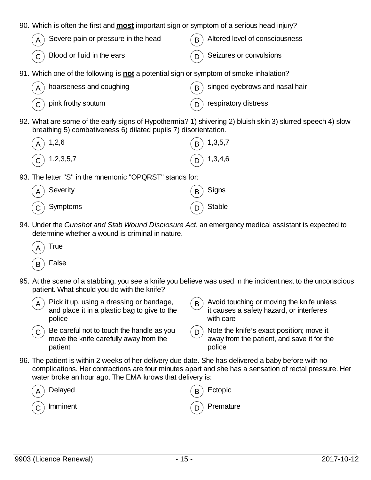- 90. Which is often the first and **most** important sign or symptom of a serious head injury?
	- Severe pain or pressure in the head  $\overline{B}$  Altered level of consciousness Blood or fluid in the ears  $\binom{n}{0}$  Seizures or convulsions
- 91. Which one of the following is **not** a potential sign or symptom of smoke inhalation?

| $\left(\overline{A}\right)$ hoarseness and coughing                  | $(B)$ singed eyebrows and nasal hair |
|----------------------------------------------------------------------|--------------------------------------|
| $\left(\begin{matrix} 0 \\ 0 \end{matrix}\right)$ pink frothy sputum | $\binom{n}{p}$ respiratory distress  |

92. What are some of the early signs of Hypothermia? 1) shivering 2) bluish skin 3) slurred speech 4) slow breathing 5) combativeness 6) dilated pupils 7) disorientation.

| $\left(\begin{matrix}A\end{matrix}\right)$ 1,2,6                  | $\binom{6}{1,3,5,7}$                               |
|-------------------------------------------------------------------|----------------------------------------------------|
| $\left(\begin{matrix} \overline{C} \end{matrix}\right)$ 1,2,3,5,7 | $\left(\begin{matrix}D\end{matrix}\right)$ 1,3,4,6 |

93. The letter "S" in the mnemonic "OPQRST" stands for:

| $\left(\begin{matrix} A \end{matrix}\right)$ Severity      | $\binom{1}{B}$ Signs |
|------------------------------------------------------------|----------------------|
| $\left(\begin{matrix} 0 \\ 0 \end{matrix}\right)$ Symptoms | $(D)$ Stable         |

94. Under the *Gunshot and Stab Wound Disclosure Act*, an emergency medical assistant is expected to determine whether a wound is criminal in nature.

| А | True  |
|---|-------|
| R | False |

- 95. At the scene of a stabbing, you see a knife you believe was used in the incident next to the unconscious patient. What should you do with the knife?
	- Pick it up, using a dressing or bandage, and place it in a plastic bag to give to the police  $\mathcal{L}_{\mathbf{B}}$  Avoid touching or moving the knife unless it causes a safety hazard, or interferes with care
	- $\mathcal{L}_{\mathbf{C}}$  Be careful not to touch the handle as you move the knife carefully away from the patient
- $\mathcal{L}_{\mathbf{D}}$  Note the knife's exact position; move it away from the patient, and save it for the police
- 96. The patient is within 2 weeks of her delivery due date. She has delivered a baby before with no complications. Her contractions are four minutes apart and she has a sensation of rectal pressure. Her water broke an hour ago. The EMA knows that delivery is:

| $\left(\begin{matrix} A \end{matrix}\right)$ Delayed | $\binom{1}{B}$ Ectopic |
|------------------------------------------------------|------------------------|
| $\binom{1}{C}$ Imminent                              | $(D)$ Premature        |